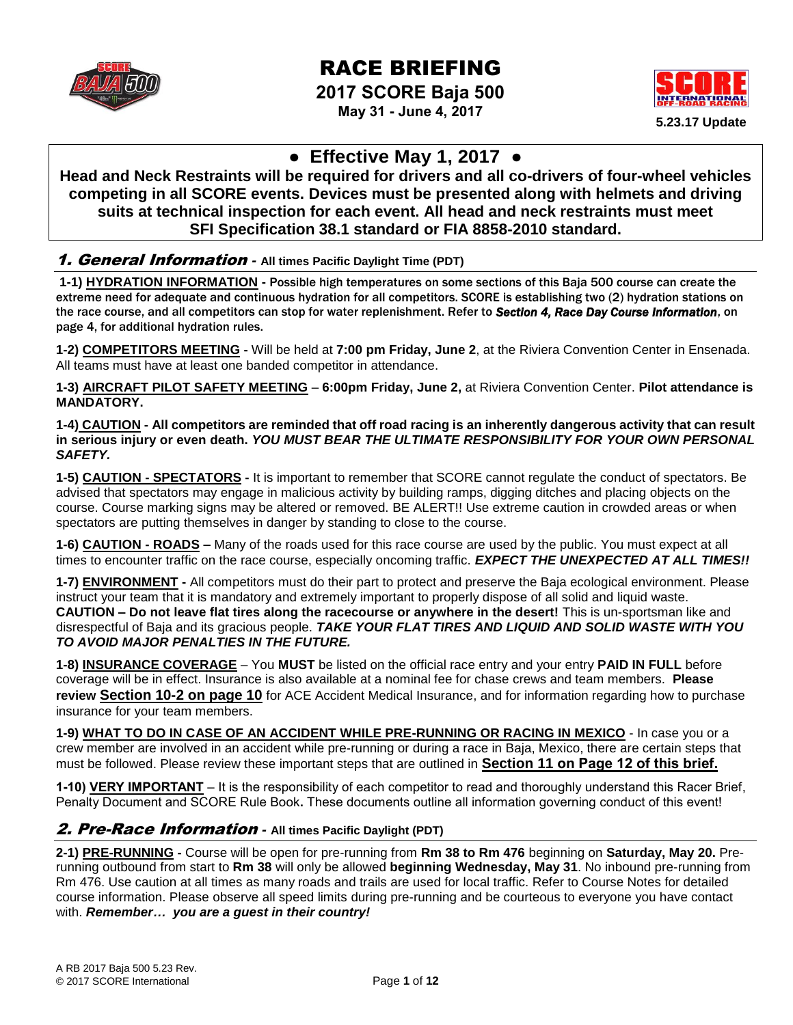

# RACE BRIEFING

**2017 SCORE Baja 500 May 31 - June 4, 2017**



# **● Effective May 1, 2017 ●**

**Head and Neck Restraints will be required for drivers and all co-drivers of four-wheel vehicles competing in all SCORE events. Devices must be presented along with helmets and driving suits at technical inspection for each event. All head and neck restraints must meet SFI Specification 38.1 standard or FIA 8858-2010 standard.**

### 1. General Information *-* **All times Pacific Daylight Time (PDT)**

**1-1) HYDRATION INFORMATION -** Possible high temperatures on some sections of this Baja 500 course can create the extreme need for adequate and continuous hydration for all competitors. SCORE is establishing two (2) hydration stations on the race course, and all competitors can stop for water replenishment. Refer to *Section 4, Race Day Course Information*, on page 4, for additional hydration rules.

**1-2) COMPETITORS MEETING -** Will be held at **7:00 pm Friday, June 2**, at the Riviera Convention Center in Ensenada. All teams must have at least one banded competitor in attendance.

**1-3) AIRCRAFT PILOT SAFETY MEETING** – **6:00pm Friday, June 2,** at Riviera Convention Center. **Pilot attendance is MANDATORY.**

**1-4) CAUTION - All competitors are reminded that off road racing is an inherently dangerous activity that can result in serious injury or even death.** *YOU MUST BEAR THE ULTIMATE RESPONSIBILITY FOR YOUR OWN PERSONAL SAFETY.*

**1-5) CAUTION - SPECTATORS -** It is important to remember that SCORE cannot regulate the conduct of spectators. Be advised that spectators may engage in malicious activity by building ramps, digging ditches and placing objects on the course. Course marking signs may be altered or removed. BE ALERT!! Use extreme caution in crowded areas or when spectators are putting themselves in danger by standing to close to the course.

**1-6) CAUTION - ROADS –** Many of the roads used for this race course are used by the public. You must expect at all times to encounter traffic on the race course, especially oncoming traffic. *EXPECT THE UNEXPECTED AT ALL TIMES!!*

**1-7) ENVIRONMENT -** All competitors must do their part to protect and preserve the Baja ecological environment. Please instruct your team that it is mandatory and extremely important to properly dispose of all solid and liquid waste. **CAUTION – Do not leave flat tires along the racecourse or anywhere in the desert!** This is un-sportsman like and disrespectful of Baja and its gracious people. *TAKE YOUR FLAT TIRES AND LIQUID AND SOLID WASTE WITH YOU TO AVOID MAJOR PENALTIES IN THE FUTURE.*

**1-8) INSURANCE COVERAGE** – You **MUST** be listed on the official race entry and your entry **PAID IN FULL** before coverage will be in effect. Insurance is also available at a nominal fee for chase crews and team members. **Please review Section 10-2 on page 10** for ACE Accident Medical Insurance, and for information regarding how to purchase insurance for your team members.

**1-9) WHAT TO DO IN CASE OF AN ACCIDENT WHILE PRE-RUNNING OR RACING IN MEXICO** - In case you or a crew member are involved in an accident while pre-running or during a race in Baja, Mexico, there are certain steps that must be followed. Please review these important steps that are outlined in **Section 11 on Page 12 of this brief.**

**1-10) VERY IMPORTANT** – It is the responsibility of each competitor to read and thoroughly understand this Racer Brief, Penalty Document and SCORE Rule Book**.** These documents outline all information governing conduct of this event!

### 2. Pre-Race Information *-* **All times Pacific Daylight (PDT)**

**2-1) PRE-RUNNING -** Course will be open for pre-running from **Rm 38 to Rm 476** beginning on **Saturday, May 20.** Prerunning outbound from start to **Rm 38** will only be allowed **beginning Wednesday, May 31**. No inbound pre-running from Rm 476. Use caution at all times as many roads and trails are used for local traffic. Refer to Course Notes for detailed course information. Please observe all speed limits during pre-running and be courteous to everyone you have contact with. *Remember… you are a guest in their country!*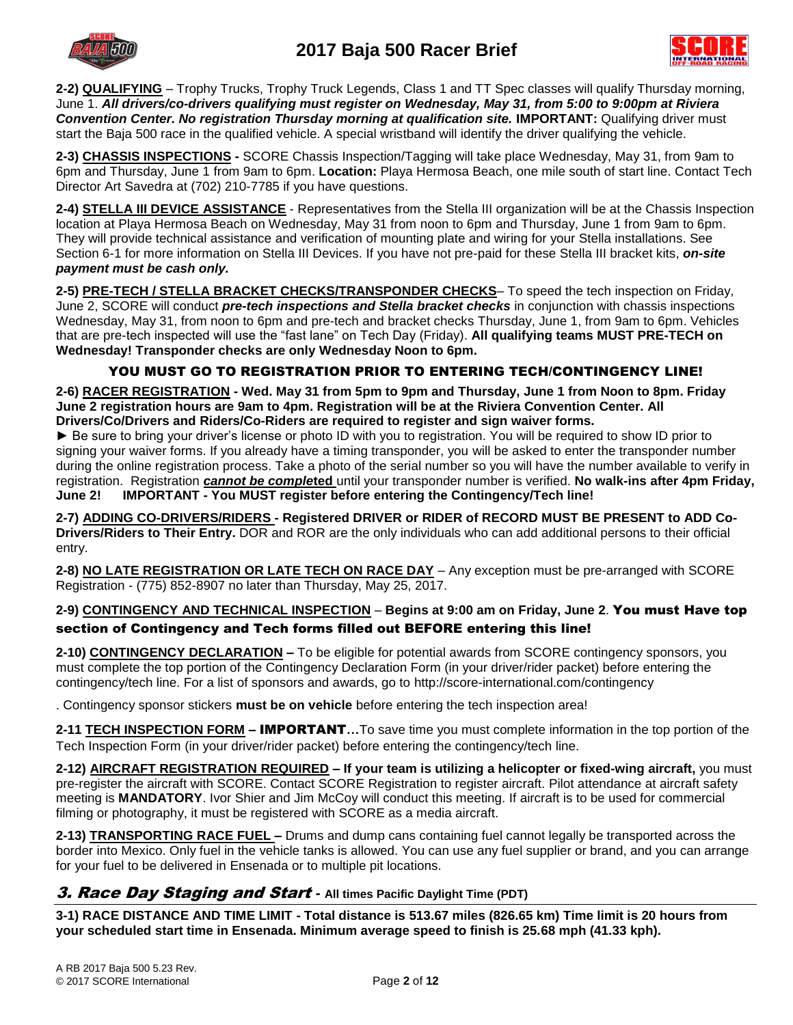

**2-2) QUALIFYING** – Trophy Trucks, Trophy Truck Legends, Class 1 and TT Spec classes will qualify Thursday morning, June 1. *All drivers/co-drivers qualifying must register on Wednesday, May 31, from 5:00 to 9:00pm at Riviera Convention Center. No registration Thursday morning at qualification site.* **IMPORTANT:** Qualifying driver must start the Baja 500 race in the qualified vehicle. A special wristband will identify the driver qualifying the vehicle.

**2-3) CHASSIS INSPECTIONS -** SCORE Chassis Inspection/Tagging will take place Wednesday, May 31, from 9am to 6pm and Thursday, June 1 from 9am to 6pm. **Location:** Playa Hermosa Beach, one mile south of start line. Contact Tech Director Art Savedra at (702) 210-7785 if you have questions.

**2-4) STELLA III DEVICE ASSISTANCE** - Representatives from the Stella III organization will be at the Chassis Inspection location at Playa Hermosa Beach on Wednesday, May 31 from noon to 6pm and Thursday, June 1 from 9am to 6pm. They will provide technical assistance and verification of mounting plate and wiring for your Stella installations. See Section 6-1 for more information on Stella III Devices. If you have not pre-paid for these Stella III bracket kits, *on-site payment must be cash only.*

**2-5) PRE-TECH / STELLA BRACKET CHECKS/TRANSPONDER CHECKS**– To speed the tech inspection on Friday, June 2, SCORE will conduct *pre-tech inspections and Stella bracket checks* in conjunction with chassis inspections Wednesday, May 31, from noon to 6pm and pre-tech and bracket checks Thursday, June 1, from 9am to 6pm. Vehicles that are pre-tech inspected will use the "fast lane" on Tech Day (Friday). **All qualifying teams MUST PRE-TECH on Wednesday! Transponder checks are only Wednesday Noon to 6pm.**

### YOU MUST GO TO REGISTRATION PRIOR TO ENTERING TECH/CONTINGENCY LINE!

**2-6) RACER REGISTRATION - Wed. May 31 from 5pm to 9pm and Thursday, June 1 from Noon to 8pm. Friday June 2 registration hours are 9am to 4pm. Registration will be at the Riviera Convention Center. All Drivers/Co/Drivers and Riders/Co-Riders are required to register and sign waiver forms.**

► Be sure to bring your driver's license or photo ID with you to registration. You will be required to show ID prior to signing your waiver forms. If you already have a timing transponder, you will be asked to enter the transponder number during the online registration process. Take a photo of the serial number so you will have the number available to verify in registration. Registration *cannot be comple***ted** until your transponder number is verified. **No walk-ins after 4pm Friday, June 2! IMPORTANT - You MUST register before entering the Contingency/Tech line!**

**2-7) ADDING CO-DRIVERS/RIDERS - Registered DRIVER or RIDER of RECORD MUST BE PRESENT to ADD Co-Drivers/Riders to Their Entry.** DOR and ROR are the only individuals who can add additional persons to their official entry.

**2-8) NO LATE REGISTRATION OR LATE TECH ON RACE DAY** – Any exception must be pre-arranged with SCORE Registration - (775) 852-8907 no later than Thursday, May 25, 2017.

### **2-9) CONTINGENCY AND TECHNICAL INSPECTION** – **Begins at 9:00 am on Friday, June 2**. You must Have top section of Contingency and Tech forms filled out BEFORE entering this line!

**2-10) CONTINGENCY DECLARATION –** To be eligible for potential awards from SCORE contingency sponsors, you must complete the top portion of the Contingency Declaration Form (in your driver/rider packet) before entering the contingency/tech line. For a list of sponsors and awards, go to http://score-international.com/contingency

. Contingency sponsor stickers **must be on vehicle** before entering the tech inspection area!

**2-11 TECH INSPECTION FORM –** IMPORTANT**…**To save time you must complete information in the top portion of the Tech Inspection Form (in your driver/rider packet) before entering the contingency/tech line.

**2-12) AIRCRAFT REGISTRATION REQUIRED – If your team is utilizing a helicopter or fixed-wing aircraft,** you must pre-register the aircraft with SCORE. Contact SCORE Registration to register aircraft. Pilot attendance at aircraft safety meeting is **MANDATORY**. Ivor Shier and Jim McCoy will conduct this meeting. If aircraft is to be used for commercial filming or photography, it must be registered with SCORE as a media aircraft.

**2-13) TRANSPORTING RACE FUEL –** Drums and dump cans containing fuel cannot legally be transported across the border into Mexico. Only fuel in the vehicle tanks is allowed. You can use any fuel supplier or brand, and you can arrange for your fuel to be delivered in Ensenada or to multiple pit locations.

### 3. Race Day Staging and Start *-* **All times Pacific Daylight Time (PDT)**

**3-1) RACE DISTANCE AND TIME LIMIT - Total distance is 513.67 miles (826.65 km) Time limit is 20 hours from your scheduled start time in Ensenada. Minimum average speed to finish is 25.68 mph (41.33 kph).**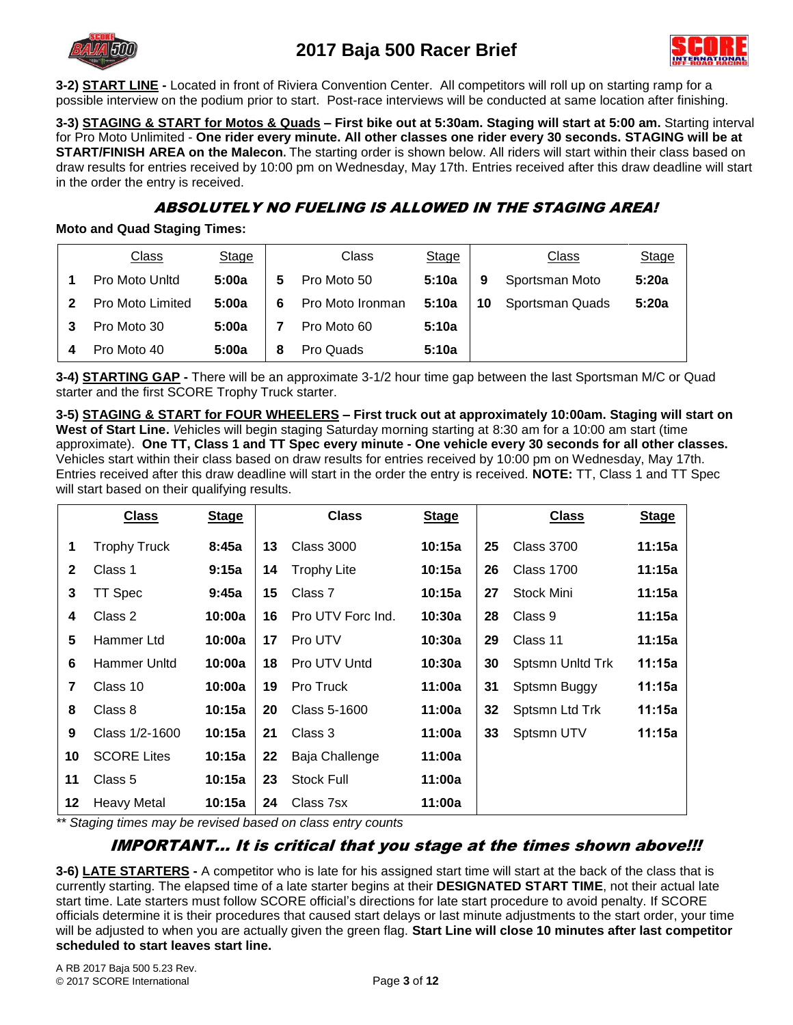



**3-2) START LINE -** Located in front of Riviera Convention Center. All competitors will roll up on starting ramp for a possible interview on the podium prior to start. Post-race interviews will be conducted at same location after finishing.

**3-3) STAGING & START for Motos & Quads – First bike out at 5:30am. Staging will start at 5:00 am.** Starting interval for Pro Moto Unlimited - **One rider every minute. All other classes one rider every 30 seconds. STAGING will be at START/FINISH AREA on the Malecon.** The starting order is shown below. All riders will start within their class based on draw results for entries received by 10:00 pm on Wednesday, May 17th. Entries received after this draw deadline will start in the order the entry is received.

### ABSOLUTELY NO FUELING IS ALLOWED IN THE STAGING AREA!

**Moto and Quad Staging Times:**

|                            | <b>Class</b>     | <b>Stage</b> |   | Class            | <b>Stage</b> |    | <b>Class</b>    | <b>Stage</b> |
|----------------------------|------------------|--------------|---|------------------|--------------|----|-----------------|--------------|
|                            | Pro Moto Unitd   | 5:00a        | 5 | Pro Moto 50      | 5:10a        | 9  | Sportsman Moto  | 5:20a        |
| $\boldsymbol{\mathcal{P}}$ | Pro Moto Limited | 5:00a        | 6 | Pro Moto Ironman | 5:10a        | 10 | Sportsman Quads | 5:20a        |
| 3                          | Pro Moto 30      | 5:00a        |   | Pro Moto 60      | 5:10a        |    |                 |              |
|                            | Pro Moto 40      | 5:00a        | 8 | Pro Quads        | 5:10a        |    |                 |              |

**3-4) STARTING GAP -** There will be an approximate 3-1/2 hour time gap between the last Sportsman M/C or Quad starter and the first SCORE Trophy Truck starter.

**3-5) STAGING & START for FOUR WHEELERS – First truck out at approximately 10:00am. Staging will start on West of Start Line.** *V*ehicles will begin staging Saturday morning starting at 8:30 am for a 10:00 am start (time approximate). **One TT, Class 1 and TT Spec every minute - One vehicle every 30 seconds for all other classes.** Vehicles start within their class based on draw results for entries received by 10:00 pm on Wednesday, May 17th. Entries received after this draw deadline will start in the order the entry is received. **NOTE:** TT, Class 1 and TT Spec will start based on their qualifying results.

|                | <b>Class</b>        | <b>Stage</b> |    | <b>Class</b>       | <b>Stage</b> |    | <b>Class</b>      | <b>Stage</b> |
|----------------|---------------------|--------------|----|--------------------|--------------|----|-------------------|--------------|
| 1              | <b>Trophy Truck</b> | 8:45a        | 13 | <b>Class 3000</b>  | 10:15a       | 25 | Class 3700        | 11:15a       |
| $\mathbf{2}$   | Class 1             | 9:15a        | 14 | <b>Trophy Lite</b> | 10:15a       | 26 | <b>Class 1700</b> | 11:15a       |
| 3              | TT Spec             | 9:45a        | 15 | Class 7            | 10:15a       | 27 | Stock Mini        | 11:15a       |
| 4              | Class 2             | 10:00a       | 16 | Pro UTV Forc Ind.  | 10:30a       | 28 | Class 9           | 11:15a       |
| 5              | Hammer Ltd          | 10:00a       | 17 | Pro UTV            | 10:30a       | 29 | Class 11          | 11:15a       |
| 6              | Hammer Unltd        | 10:00a       | 18 | Pro UTV Untd       | 10:30a       | 30 | Sptsmn Unitd Trk  | 11:15a       |
| $\overline{7}$ | Class 10            | 10:00a       | 19 | Pro Truck          | 11:00a       | 31 | Sptsmn Buggy      | 11:15a       |
| 8              | Class 8             | 10:15a       | 20 | Class 5-1600       | 11:00a       | 32 | Sptsmn Ltd Trk    | 11:15a       |
| 9              | Class 1/2-1600      | 10:15a       | 21 | Class 3            | 11:00a       | 33 | Sptsmn UTV        | 11:15a       |
| 10             | <b>SCORE Lites</b>  | 10:15a       | 22 | Baja Challenge     | 11:00a       |    |                   |              |
| 11             | Class 5             | 10:15a       | 23 | <b>Stock Full</b>  | 11:00a       |    |                   |              |
| 12             | Heavy Metal         | 10:15a       | 24 | Class 7sx          | 11:00a       |    |                   |              |

*\*\* Staging times may be revised based on class entry counts*

### IMPORTANT… It is critical that you stage at the times shown above!!!

**3-6) LATE STARTERS -** A competitor who is late for his assigned start time will start at the back of the class that is currently starting. The elapsed time of a late starter begins at their **DESIGNATED START TIME**, not their actual late start time. Late starters must follow SCORE official's directions for late start procedure to avoid penalty. If SCORE officials determine it is their procedures that caused start delays or last minute adjustments to the start order, your time will be adjusted to when you are actually given the green flag. **Start Line will close 10 minutes after last competitor scheduled to start leaves start line.**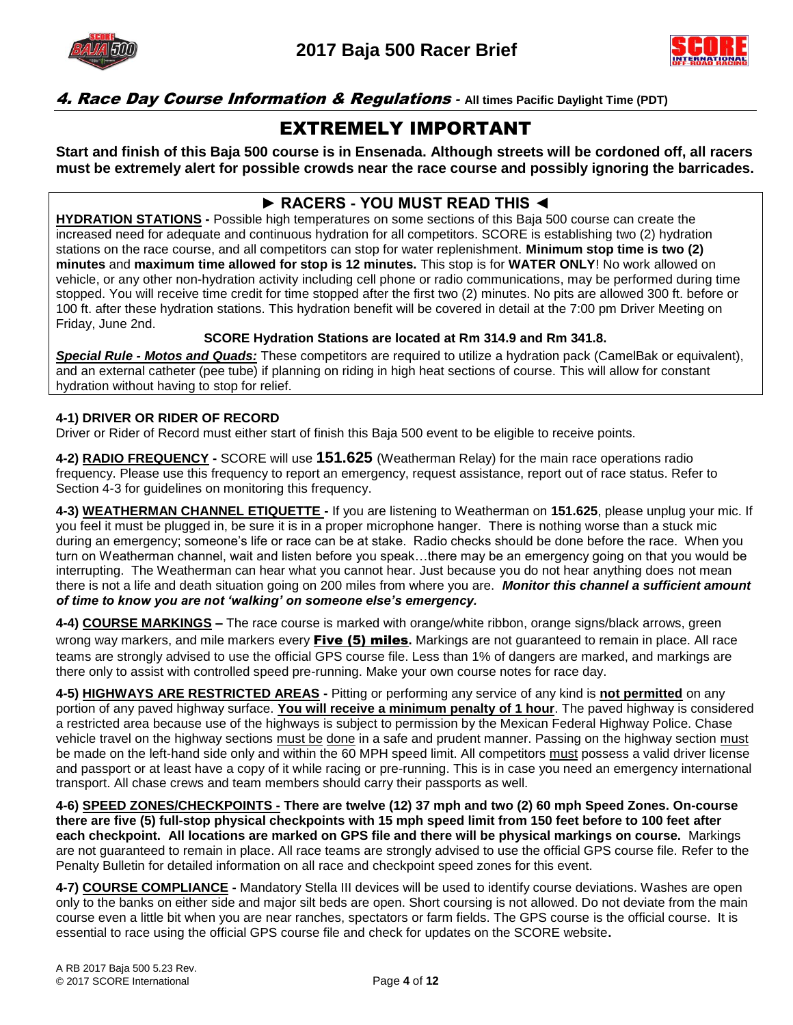



### 4. Race Day Course Information & Regulations *-* **All times Pacific Daylight Time (PDT)**

# EXTREMELY IMPORTANT

**Start and finish of this Baja 500 course is in Ensenada. Although streets will be cordoned off, all racers must be extremely alert for possible crowds near the race course and possibly ignoring the barricades.**

### **► RACERS - YOU MUST READ THIS ◄**

**HYDRATION STATIONS -** Possible high temperatures on some sections of this Baja 500 course can create the increased need for adequate and continuous hydration for all competitors. SCORE is establishing two (2) hydration stations on the race course, and all competitors can stop for water replenishment. **Minimum stop time is two (2) minutes** and **maximum time allowed for stop is 12 minutes.** This stop is for **WATER ONLY**! No work allowed on vehicle, or any other non-hydration activity including cell phone or radio communications, may be performed during time stopped. You will receive time credit for time stopped after the first two (2) minutes. No pits are allowed 300 ft. before or 100 ft. after these hydration stations. This hydration benefit will be covered in detail at the 7:00 pm Driver Meeting on Friday, June 2nd.

### **SCORE Hydration Stations are located at Rm 314.9 and Rm 341.8.**

*Special Rule - Motos and Quads:* These competitors are required to utilize a hydration pack (CamelBak or equivalent), and an external catheter (pee tube) if planning on riding in high heat sections of course. This will allow for constant hydration without having to stop for relief.

#### **4-1) DRIVER OR RIDER OF RECORD**

Driver or Rider of Record must either start of finish this Baja 500 event to be eligible to receive points.

**4-2) RADIO FREQUENCY -** SCORE will use **151.625** (Weatherman Relay) for the main race operations radio frequency. Please use this frequency to report an emergency, request assistance, report out of race status. Refer to Section 4-3 for guidelines on monitoring this frequency.

**4-3) WEATHERMAN CHANNEL ETIQUETTE -** If you are listening to Weatherman on **151.625**, please unplug your mic. If you feel it must be plugged in, be sure it is in a proper microphone hanger. There is nothing worse than a stuck mic during an emergency; someone's life or race can be at stake. Radio checks should be done before the race. When you turn on Weatherman channel, wait and listen before you speak…there may be an emergency going on that you would be interrupting. The Weatherman can hear what you cannot hear. Just because you do not hear anything does not mean there is not a life and death situation going on 200 miles from where you are. *Monitor this channel a sufficient amount of time to know you are not 'walking' on someone else's emergency.*

**4-4) COURSE MARKINGS –** The race course is marked with orange/white ribbon, orange signs/black arrows, green wrong way markers, and mile markers every Five (5) miles**.** Markings are not guaranteed to remain in place. All race teams are strongly advised to use the official GPS course file. Less than 1% of dangers are marked, and markings are there only to assist with controlled speed pre-running. Make your own course notes for race day.

**4-5) HIGHWAYS ARE RESTRICTED AREAS -** Pitting or performing any service of any kind is **not permitted** on any portion of any paved highway surface. **You will receive a minimum penalty of 1 hour**. The paved highway is considered a restricted area because use of the highways is subject to permission by the Mexican Federal Highway Police. Chase vehicle travel on the highway sections must be done in a safe and prudent manner. Passing on the highway section must be made on the left-hand side only and within the 60 MPH speed limit. All competitors must possess a valid driver license and passport or at least have a copy of it while racing or pre-running. This is in case you need an emergency international transport. All chase crews and team members should carry their passports as well.

**4-6) SPEED ZONES/CHECKPOINTS - There are twelve (12) 37 mph and two (2) 60 mph Speed Zones. On-course there are five (5) full-stop physical checkpoints with 15 mph speed limit from 150 feet before to 100 feet after each checkpoint. All locations are marked on GPS file and there will be physical markings on course.** Markings are not guaranteed to remain in place. All race teams are strongly advised to use the official GPS course file. Refer to the Penalty Bulletin for detailed information on all race and checkpoint speed zones for this event.

**4-7) COURSE COMPLIANCE -** Mandatory Stella III devices will be used to identify course deviations. Washes are open only to the banks on either side and major silt beds are open. Short coursing is not allowed. Do not deviate from the main course even a little bit when you are near ranches, spectators or farm fields. The GPS course is the official course. It is essential to race using the official GPS course file and check for updates on the SCORE website**.**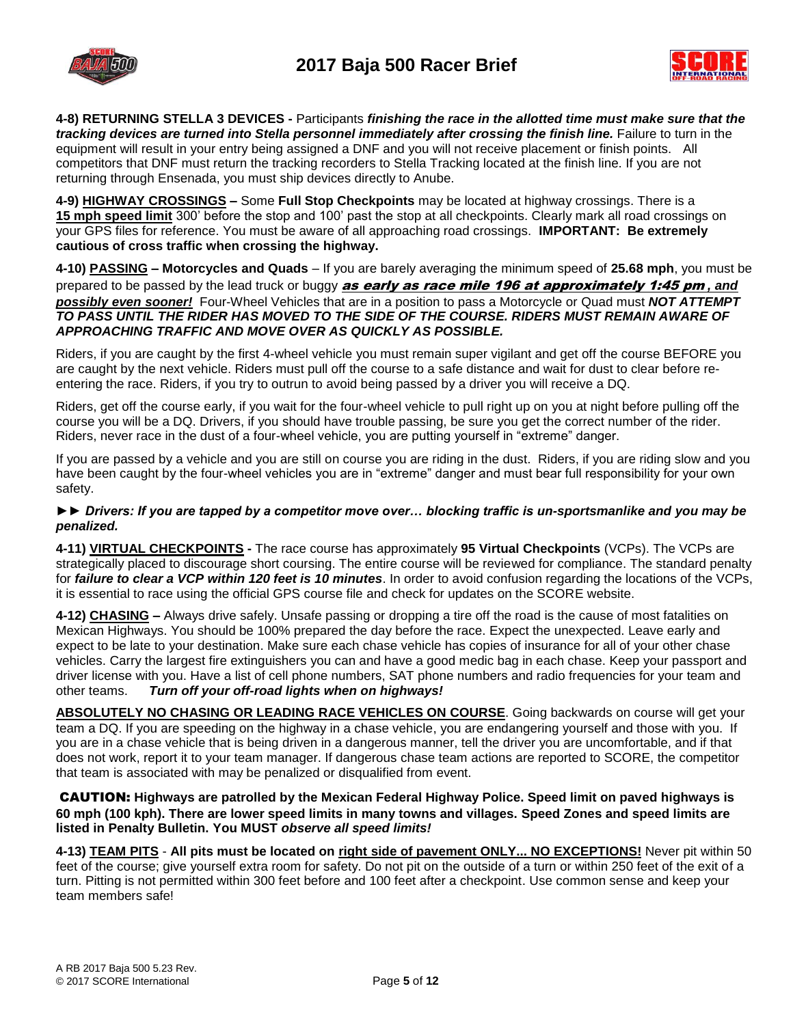



**4-8) RETURNING STELLA 3 DEVICES -** Participants *finishing the race in the allotted time must make sure that the tracking devices are turned into Stella personnel immediately after crossing the finish line.* Failure to turn in the equipment will result in your entry being assigned a DNF and you will not receive placement or finish points. All competitors that DNF must return the tracking recorders to Stella Tracking located at the finish line. If you are not returning through Ensenada, you must ship devices directly to Anube.

**4-9) HIGHWAY CROSSINGS –** Some **Full Stop Checkpoints** may be located at highway crossings. There is a **15 mph speed limit** 300' before the stop and 100' past the stop at all checkpoints. Clearly mark all road crossings on your GPS files for reference. You must be aware of all approaching road crossings. **IMPORTANT: Be extremely cautious of cross traffic when crossing the highway.**

**4-10) PASSING – Motorcycles and Quads** – If you are barely averaging the minimum speed of **25.68 mph**, you must be

prepared to be passed by the lead truck or buggy as early as race mile 196 at approximately 1:45 pm *, and possibly even sooner!* Four-Wheel Vehicles that are in a position to pass a Motorcycle or Quad must *NOT ATTEMPT TO PASS UNTIL THE RIDER HAS MOVED TO THE SIDE OF THE COURSE. RIDERS MUST REMAIN AWARE OF APPROACHING TRAFFIC AND MOVE OVER AS QUICKLY AS POSSIBLE.*

Riders, if you are caught by the first 4-wheel vehicle you must remain super vigilant and get off the course BEFORE you are caught by the next vehicle. Riders must pull off the course to a safe distance and wait for dust to clear before reentering the race. Riders, if you try to outrun to avoid being passed by a driver you will receive a DQ.

Riders, get off the course early, if you wait for the four-wheel vehicle to pull right up on you at night before pulling off the course you will be a DQ. Drivers, if you should have trouble passing, be sure you get the correct number of the rider. Riders, never race in the dust of a four-wheel vehicle, you are putting yourself in "extreme" danger.

If you are passed by a vehicle and you are still on course you are riding in the dust. Riders, if you are riding slow and you have been caught by the four-wheel vehicles you are in "extreme" danger and must bear full responsibility for your own safety.

#### *►► Drivers: If you are tapped by a competitor move over… blocking traffic is un-sportsmanlike and you may be penalized.*

**4-11) VIRTUAL CHECKPOINTS -** The race course has approximately **95 Virtual Checkpoints** (VCPs). The VCPs are strategically placed to discourage short coursing. The entire course will be reviewed for compliance. The standard penalty for *failure to clear a VCP within 120 feet is 10 minutes*. In order to avoid confusion regarding the locations of the VCPs, it is essential to race using the official GPS course file and check for updates on the SCORE website.

**4-12) CHASING –** Always drive safely. Unsafe passing or dropping a tire off the road is the cause of most fatalities on Mexican Highways. You should be 100% prepared the day before the race. Expect the unexpected. Leave early and expect to be late to your destination. Make sure each chase vehicle has copies of insurance for all of your other chase vehicles. Carry the largest fire extinguishers you can and have a good medic bag in each chase. Keep your passport and driver license with you. Have a list of cell phone numbers, SAT phone numbers and radio frequencies for your team and other teams. *Turn off your off-road lights when on highways!*

**ABSOLUTELY NO CHASING OR LEADING RACE VEHICLES ON COURSE**. Going backwards on course will get your team a DQ. If you are speeding on the highway in a chase vehicle, you are endangering yourself and those with you. If you are in a chase vehicle that is being driven in a dangerous manner, tell the driver you are uncomfortable, and if that does not work, report it to your team manager. If dangerous chase team actions are reported to SCORE, the competitor that team is associated with may be penalized or disqualified from event.

#### CAUTION: **Highways are patrolled by the Mexican Federal Highway Police. Speed limit on paved highways is 60 mph (100 kph). There are lower speed limits in many towns and villages. Speed Zones and speed limits are listed in Penalty Bulletin. You MUST** *observe all speed limits!*

**4-13) TEAM PITS** - **All pits must be located on right side of pavement ONLY... NO EXCEPTIONS!** Never pit within 50 feet of the course; give yourself extra room for safety. Do not pit on the outside of a turn or within 250 feet of the exit of a turn. Pitting is not permitted within 300 feet before and 100 feet after a checkpoint. Use common sense and keep your team members safe!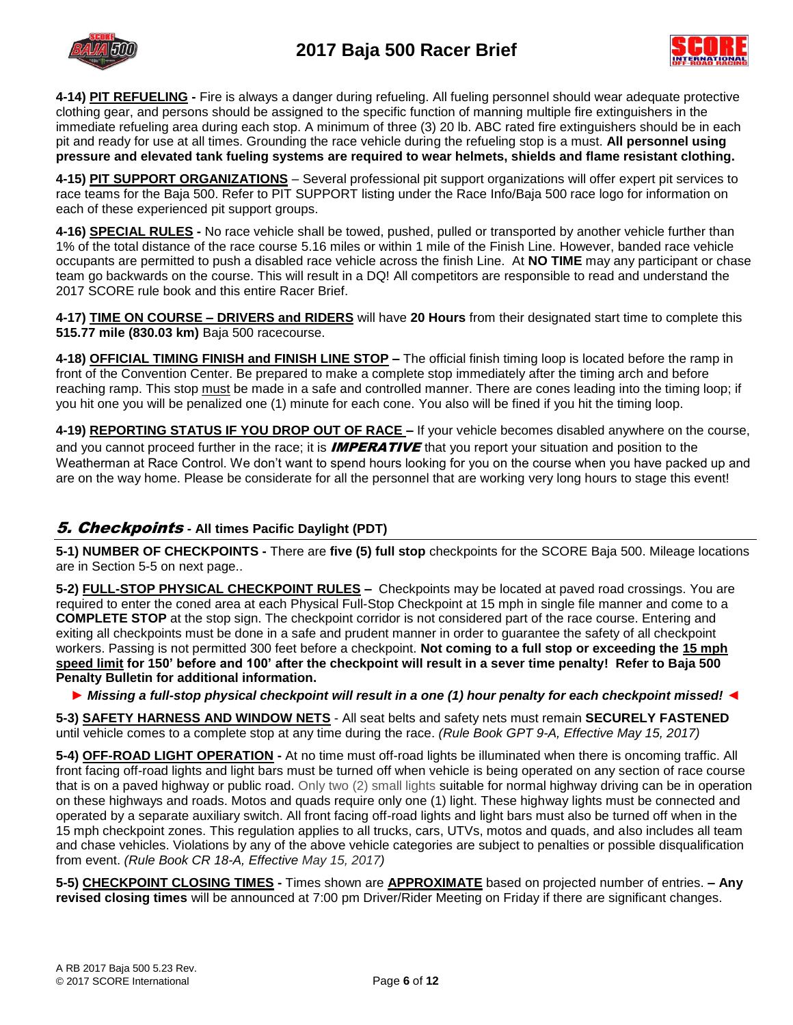



**4-14) PIT REFUELING -** Fire is always a danger during refueling. All fueling personnel should wear adequate protective clothing gear, and persons should be assigned to the specific function of manning multiple fire extinguishers in the immediate refueling area during each stop. A minimum of three (3) 20 lb. ABC rated fire extinguishers should be in each pit and ready for use at all times. Grounding the race vehicle during the refueling stop is a must. **All personnel using pressure and elevated tank fueling systems are required to wear helmets, shields and flame resistant clothing.**

**4-15) PIT SUPPORT ORGANIZATIONS** – Several professional pit support organizations will offer expert pit services to race teams for the Baja 500. Refer to PIT SUPPORT listing under the Race Info/Baja 500 race logo for information on each of these experienced pit support groups.

**4-16) SPECIAL RULES -** No race vehicle shall be towed, pushed, pulled or transported by another vehicle further than 1% of the total distance of the race course 5.16 miles or within 1 mile of the Finish Line. However, banded race vehicle occupants are permitted to push a disabled race vehicle across the finish Line. At **NO TIME** may any participant or chase team go backwards on the course. This will result in a DQ! All competitors are responsible to read and understand the 2017 SCORE rule book and this entire Racer Brief.

**4-17) TIME ON COURSE – DRIVERS and RIDERS** will have **20 Hours** from their designated start time to complete this **515.77 mile (830.03 km)** Baja 500 racecourse.

**4-18) OFFICIAL TIMING FINISH and FINISH LINE STOP –** The official finish timing loop is located before the ramp in front of the Convention Center. Be prepared to make a complete stop immediately after the timing arch and before reaching ramp. This stop must be made in a safe and controlled manner. There are cones leading into the timing loop; if you hit one you will be penalized one (1) minute for each cone. You also will be fined if you hit the timing loop.

**4-19) REPORTING STATUS IF YOU DROP OUT OF RACE –** If your vehicle becomes disabled anywhere on the course, and you cannot proceed further in the race; it is **IMPERATIVE** that you report your situation and position to the Weatherman at Race Control. We don't want to spend hours looking for you on the course when you have packed up and are on the way home. Please be considerate for all the personnel that are working very long hours to stage this event!

### 5. Checkpoints *-* **All times Pacific Daylight (PDT)**

**5-1) NUMBER OF CHECKPOINTS -** There are **five (5) full stop** checkpoints for the SCORE Baja 500. Mileage locations are in Section 5-5 on next page..

**5-2) FULL-STOP PHYSICAL CHECKPOINT RULES –** Checkpoints may be located at paved road crossings. You are required to enter the coned area at each Physical Full-Stop Checkpoint at 15 mph in single file manner and come to a **COMPLETE STOP** at the stop sign. The checkpoint corridor is not considered part of the race course. Entering and exiting all checkpoints must be done in a safe and prudent manner in order to guarantee the safety of all checkpoint workers. Passing is not permitted 300 feet before a checkpoint. **Not coming to a full stop or exceeding the 15 mph speed limit for 150' before and 100' after the checkpoint will result in a sever time penalty! Refer to Baja 500 Penalty Bulletin for additional information.**

*► Missing a full-stop physical checkpoint will result in a one (1) hour penalty for each checkpoint missed! ◄*

**5-3) SAFETY HARNESS AND WINDOW NETS** - All seat belts and safety nets must remain **SECURELY FASTENED** until vehicle comes to a complete stop at any time during the race. *(Rule Book GPT 9-A, Effective May 15, 2017)*

**5-4) OFF-ROAD LIGHT OPERATION -** At no time must off-road lights be illuminated when there is oncoming traffic. All front facing off-road lights and light bars must be turned off when vehicle is being operated on any section of race course that is on a paved highway or public road. Only two (2) small lights suitable for normal highway driving can be in operation on these highways and roads. Motos and quads require only one (1) light. These highway lights must be connected and operated by a separate auxiliary switch. All front facing off-road lights and light bars must also be turned off when in the 15 mph checkpoint zones. This regulation applies to all trucks, cars, UTVs, motos and quads, and also includes all team and chase vehicles. Violations by any of the above vehicle categories are subject to penalties or possible disqualification from event. *(Rule Book CR 18-A, Effective May 15, 2017)*

**5-5) CHECKPOINT CLOSING TIMES -** Times shown are **APPROXIMATE** based on projected number of entries. **– Any revised closing times** will be announced at 7:00 pm Driver/Rider Meeting on Friday if there are significant changes.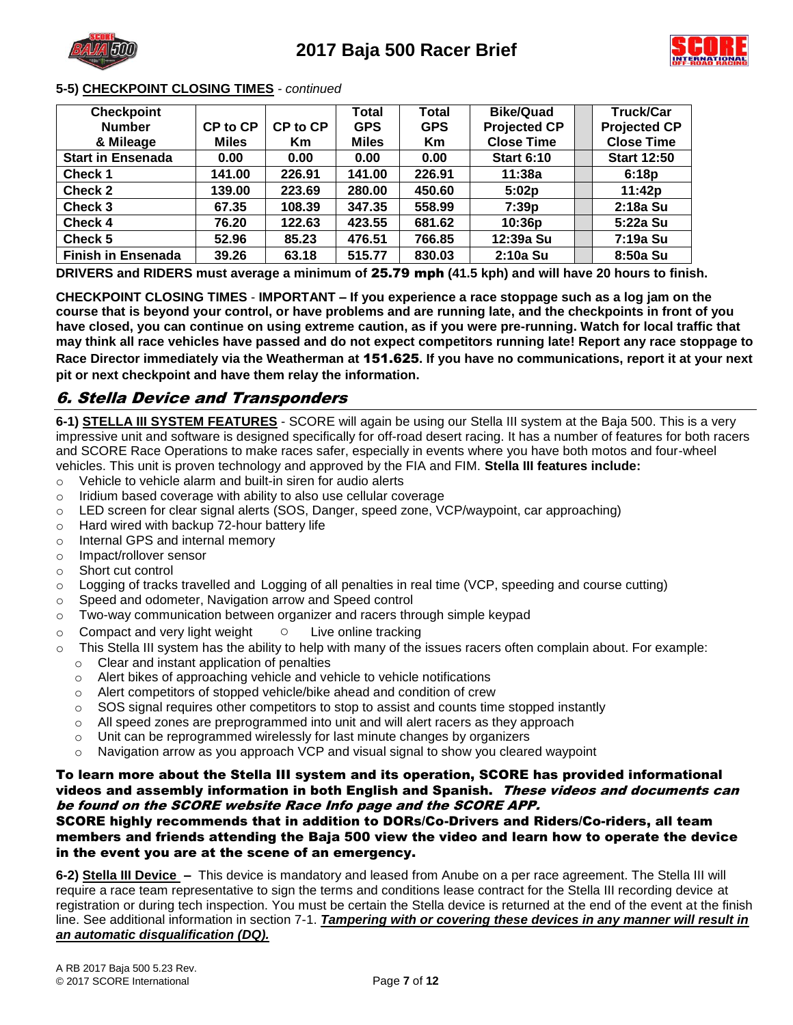



#### **5-5) CHECKPOINT CLOSING TIMES** *- continued*

| <b>Checkpoint</b>         |              |          | Total        | <b>Total</b> | <b>Bike/Quad</b>    | <b>Truck/Car</b>    |
|---------------------------|--------------|----------|--------------|--------------|---------------------|---------------------|
| <b>Number</b>             | CP to CP     | CP to CP | <b>GPS</b>   | <b>GPS</b>   | <b>Projected CP</b> | <b>Projected CP</b> |
| & Mileage                 | <b>Miles</b> | Кm       | <b>Miles</b> | <b>Km</b>    | <b>Close Time</b>   | <b>Close Time</b>   |
| <b>Start in Ensenada</b>  | 0.00         | 0.00     | 0.00         | 0.00         | <b>Start 6:10</b>   | <b>Start 12:50</b>  |
| <b>Check 1</b>            | 141.00       | 226.91   | 141.00       | 226.91       | 11:38a              | 6:18p               |
| <b>Check 2</b>            | 139.00       | 223.69   | 280.00       | 450.60       | 5:02p               | 11:42p              |
| Check 3                   | 67.35        | 108.39   | 347.35       | 558.99       | 7:39p               | 2:18a Su            |
| Check 4                   | 76.20        | 122.63   | 423.55       | 681.62       | 10:36p              | 5:22a Su            |
| Check 5                   | 52.96        | 85.23    | 476.51       | 766.85       | 12:39a Su           | 7:19a Su            |
| <b>Finish in Ensenada</b> | 39.26        | 63.18    | 515.77       | 830.03       | 2:10a Su            | 8:50a Su            |

**DRIVERS and RIDERS must average a minimum of** 25.79 mph **(41.5 kph) and will have 20 hours to finish.**

**CHECKPOINT CLOSING TIMES** - **IMPORTANT – If you experience a race stoppage such as a log jam on the course that is beyond your control, or have problems and are running late, and the checkpoints in front of you have closed, you can continue on using extreme caution, as if you were pre-running. Watch for local traffic that may think all race vehicles have passed and do not expect competitors running late! Report any race stoppage to Race Director immediately via the Weatherman at** 151.625**. If you have no communications, report it at your next pit or next checkpoint and have them relay the information.** 

### 6. Stella Device and Transponders

**6-1) STELLA III SYSTEM FEATURES** - SCORE will again be using our Stella III system at the Baja 500. This is a very impressive unit and software is designed specifically for off-road desert racing. It has a number of features for both racers and SCORE Race Operations to make races safer, especially in events where you have both motos and four-wheel vehicles. This unit is proven technology and approved by the FIA and FIM. **Stella III features include:**

- o Vehicle to vehicle alarm and built-in siren for audio alerts
- o Iridium based coverage with ability to also use cellular coverage
- o LED screen for clear signal alerts (SOS, Danger, speed zone, VCP/waypoint, car approaching)
- o Hard wired with backup 72-hour battery life
- o Internal GPS and internal memory
- o Impact/rollover sensor
- o Short cut control
- o Logging of tracks travelled and Logging of all penalties in real time (VCP, speeding and course cutting)
- o Speed and odometer, Navigation arrow and Speed control
- $\circ$  Two-way communication between organizer and racers through simple keypad
- o Compact and very light weight Live online tracking
- o This Stella III system has the ability to help with many of the issues racers often complain about. For example:
	- o Clear and instant application of penalties
	- o Alert bikes of approaching vehicle and vehicle to vehicle notifications
	- o Alert competitors of stopped vehicle/bike ahead and condition of crew
	- $\circ$  SOS signal requires other competitors to stop to assist and counts time stopped instantly
	- $\circ$  All speed zones are preprogrammed into unit and will alert racers as they approach
	- $\circ$  Unit can be reprogrammed wirelessly for last minute changes by organizers
	- $\circ$  Navigation arrow as you approach VCP and visual signal to show you cleared waypoint

#### To learn more about the Stella III system and its operation, SCORE has provided informational videos and assembly information in both English and Spanish. These videos and documents can be found on the SCORE website Race Info page and the SCORE APP.

#### SCORE highly recommends that in addition to DORs/Co-Drivers and Riders/Co-riders, all team members and friends attending the Baja 500 view the video and learn how to operate the device in the event you are at the scene of an emergency.

**6-2) Stella III Device –** This device is mandatory and leased from Anube on a per race agreement. The Stella III will require a race team representative to sign the terms and conditions lease contract for the Stella III recording device at registration or during tech inspection. You must be certain the Stella device is returned at the end of the event at the finish line. See additional information in section 7-1. *Tampering with or covering these devices in any manner will result in an automatic disqualification (DQ).*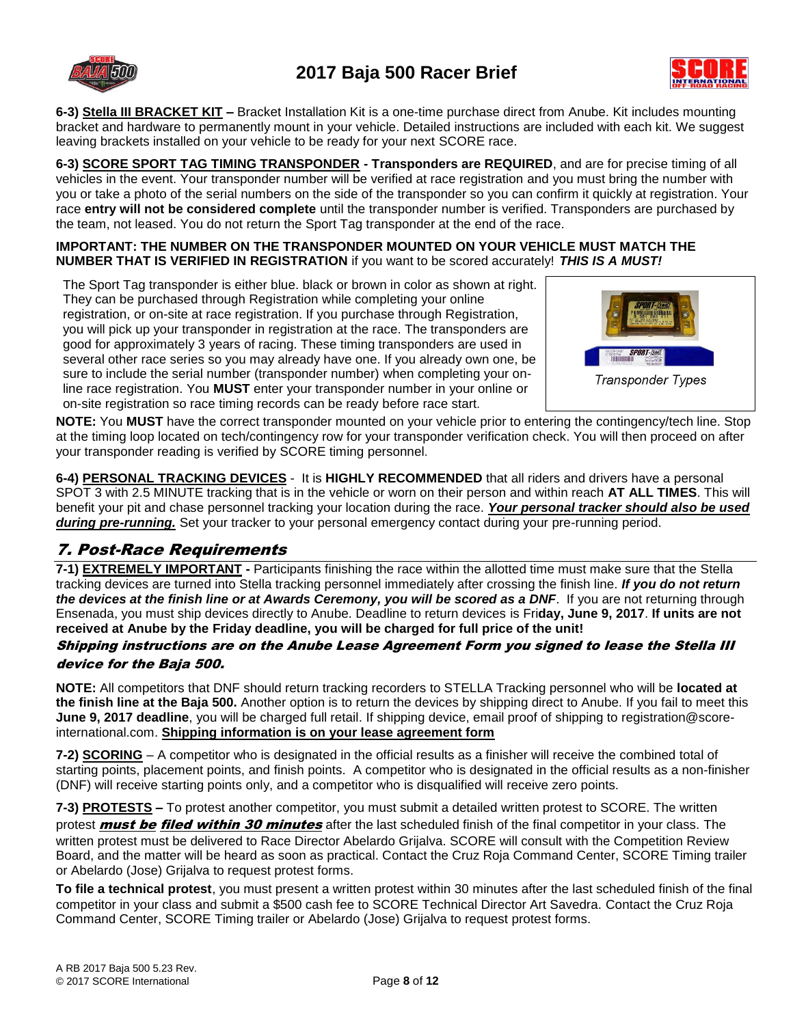



**6-3) Stella III BRACKET KIT –** Bracket Installation Kit is a one-time purchase direct from Anube. Kit includes mounting bracket and hardware to permanently mount in your vehicle. Detailed instructions are included with each kit. We suggest leaving brackets installed on your vehicle to be ready for your next SCORE race.

**6-3) SCORE SPORT TAG TIMING TRANSPONDER - Transponders are REQUIRED**, and are for precise timing of all vehicles in the event. Your transponder number will be verified at race registration and you must bring the number with you or take a photo of the serial numbers on the side of the transponder so you can confirm it quickly at registration. Your race **entry will not be considered complete** until the transponder number is verified. Transponders are purchased by the team, not leased. You do not return the Sport Tag transponder at the end of the race.

### **IMPORTANT: THE NUMBER ON THE TRANSPONDER MOUNTED ON YOUR VEHICLE MUST MATCH THE NUMBER THAT IS VERIFIED IN REGISTRATION** if you want to be scored accurately! *THIS IS A MUST!*

The Sport Tag transponder is either blue. black or brown in color as shown at right. They can be purchased through Registration while completing your online registration, or on-site at race registration. If you purchase through Registration, you will pick up your transponder in registration at the race. The transponders are good for approximately 3 years of racing. These timing transponders are used in several other race series so you may already have one. If you already own one, be sure to include the serial number (transponder number) when completing your online race registration. You **MUST** enter your transponder number in your online or on-site registration so race timing records can be ready before race start.



**NOTE:** You **MUST** have the correct transponder mounted on your vehicle prior to entering the contingency/tech line. Stop at the timing loop located on tech/contingency row for your transponder verification check. You will then proceed on after your transponder reading is verified by SCORE timing personnel.

**6-4) PERSONAL TRACKING DEVICES** - It is **HIGHLY RECOMMENDED** that all riders and drivers have a personal SPOT 3 with 2.5 MINUTE tracking that is in the vehicle or worn on their person and within reach **AT ALL TIMES**. This will benefit your pit and chase personnel tracking your location during the race. *Your personal tracker should also be used during pre-running.* Set your tracker to your personal emergency contact during your pre-running period.

## 7. Post-Race Requirements

**7-1) EXTREMELY IMPORTANT -** Participants finishing the race within the allotted time must make sure that the Stella tracking devices are turned into Stella tracking personnel immediately after crossing the finish line. *If you do not return the devices at the finish line or at Awards Ceremony, you will be scored as a DNF*. If you are not returning through Ensenada, you must ship devices directly to Anube. Deadline to return devices is Fri**day, June 9, 2017**. **If units are not received at Anube by the Friday deadline, you will be charged for full price of the unit!**

### Shipping instructions are on the Anube Lease Agreement Form you signed to lease the Stella III device for the Baja 500.

**NOTE:** All competitors that DNF should return tracking recorders to STELLA Tracking personnel who will be **located at the finish line at the Baja 500.** Another option is to return the devices by shipping direct to Anube. If you fail to meet this **June 9, 2017 deadline**, you will be charged full retail. If shipping device, email proof of shipping to registration@scoreinternational.com. **Shipping information is on your lease agreement form**

**7-2) SCORING** – A competitor who is designated in the official results as a finisher will receive the combined total of starting points, placement points, and finish points. A competitor who is designated in the official results as a non-finisher (DNF) will receive starting points only, and a competitor who is disqualified will receive zero points.

**7-3) PROTESTS –** To protest another competitor, you must submit a detailed written protest to SCORE. The written protest **must be filed within 30 minutes** after the last scheduled finish of the final competitor in your class. The written protest must be delivered to Race Director Abelardo Grijalva. SCORE will consult with the Competition Review Board, and the matter will be heard as soon as practical. Contact the Cruz Roja Command Center, SCORE Timing trailer or Abelardo (Jose) Grijalva to request protest forms.

**To file a technical protest**, you must present a written protest within 30 minutes after the last scheduled finish of the final competitor in your class and submit a \$500 cash fee to SCORE Technical Director Art Savedra. Contact the Cruz Roja Command Center, SCORE Timing trailer or Abelardo (Jose) Grijalva to request protest forms.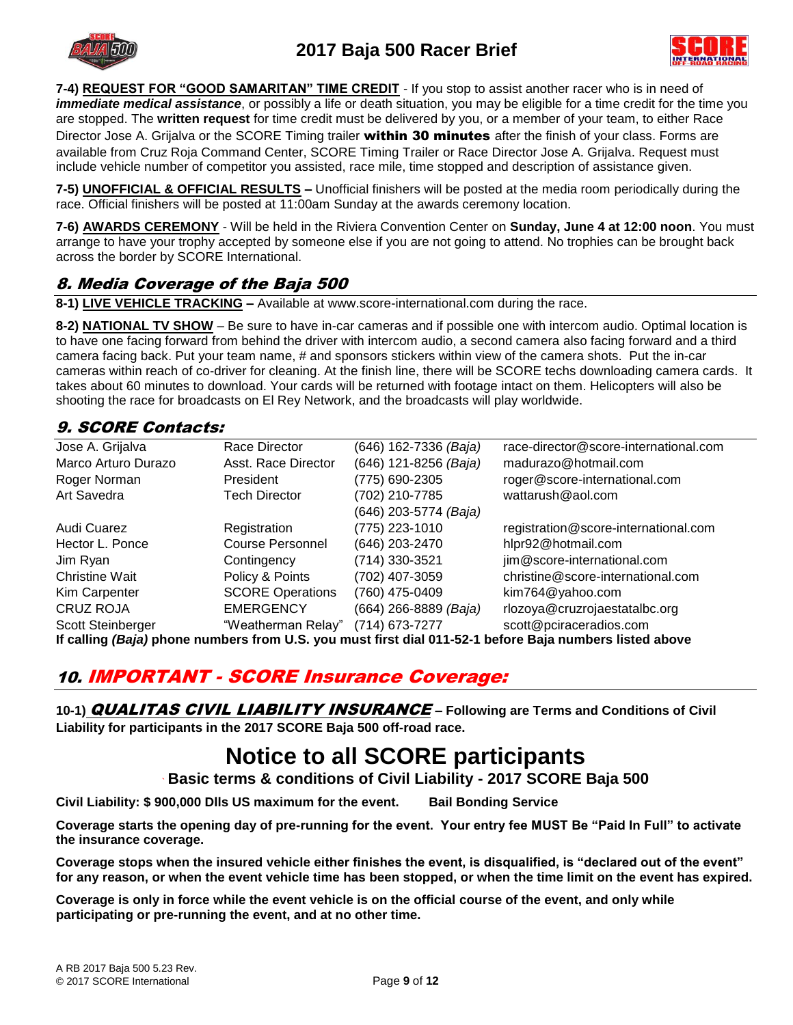



**7-4) REQUEST FOR "GOOD SAMARITAN" TIME CREDIT** - If you stop to assist another racer who is in need of *immediate medical assistance*, or possibly a life or death situation, you may be eligible for a time credit for the time you are stopped. The **written request** for time credit must be delivered by you, or a member of your team, to either Race Director Jose A. Grijalva or the SCORE Timing trailer within 30 minutes after the finish of your class. Forms are available from Cruz Roja Command Center, SCORE Timing Trailer or Race Director Jose A. Grijalva. Request must include vehicle number of competitor you assisted, race mile, time stopped and description of assistance given.

**7-5) UNOFFICIAL & OFFICIAL RESULTS –** Unofficial finishers will be posted at the media room periodically during the race. Official finishers will be posted at 11:00am Sunday at the awards ceremony location.

**7-6) AWARDS CEREMONY** - Will be held in the Riviera Convention Center on **Sunday, June 4 at 12:00 noon**. You must arrange to have your trophy accepted by someone else if you are not going to attend. No trophies can be brought back across the border by SCORE International.

### 8. Media Coverage of the Baja 500

**8-1) LIVE VEHICLE TRACKING –** Available at www.score-international.com during the race.

**8-2) NATIONAL TV SHOW** – Be sure to have in-car cameras and if possible one with intercom audio. Optimal location is to have one facing forward from behind the driver with intercom audio, a second camera also facing forward and a third camera facing back. Put your team name, # and sponsors stickers within view of the camera shots. Put the in-car cameras within reach of co-driver for cleaning. At the finish line, there will be SCORE techs downloading camera cards. It takes about 60 minutes to download. Your cards will be returned with footage intact on them. Helicopters will also be shooting the race for broadcasts on El Rey Network, and the broadcasts will play worldwide.

### 9. SCORE Contacts:

| Jose A. Grijalva      | Race Director           | (646) 162-7336 (Baja) | race-director@score-international.com |
|-----------------------|-------------------------|-----------------------|---------------------------------------|
| Marco Arturo Durazo   | Asst. Race Director     | (646) 121-8256 (Baja) | madurazo@hotmail.com                  |
| Roger Norman          | President               | (775) 690-2305        | roger@score-international.com         |
| Art Savedra           | <b>Tech Director</b>    | (702) 210-7785        | wattarush@aol.com                     |
|                       |                         | (646) 203-5774 (Baja) |                                       |
| Audi Cuarez           | Registration            | (775) 223-1010        | registration@score-international.com  |
| Hector L. Ponce       | <b>Course Personnel</b> | (646) 203-2470        | hlpr92@hotmail.com                    |
| Jim Ryan              | Contingency             | (714) 330-3521        | jim@score-international.com           |
| <b>Christine Wait</b> | Policy & Points         | (702) 407-3059        | christine@score-international.com     |
| Kim Carpenter         | <b>SCORE Operations</b> | (760) 475-0409        | kim764@yahoo.com                      |
| <b>CRUZ ROJA</b>      | <b>EMERGENCY</b>        | (664) 266-8889 (Baja) | rlozoya@cruzrojaestatalbc.org         |
| Scott Steinberger     | "Weatherman Relay"      | (714) 673-7277        | scott@pciraceradios.com               |
|                       |                         |                       |                                       |

**If calling** *(Baja)* **phone numbers from U.S. you must first dial 011-52-1 before Baja numbers listed above**

# 10. IMPORTANT - SCORE Insurance Coverage:

**10-1)** QUALITAS CIVIL LIABILITY INSURANCE **– Following are Terms and Conditions of Civil Liability for participants in the 2017 SCORE Baja 500 off-road race.**

# **Notice to all SCORE participants**

**` Basic terms & conditions of Civil Liability - 2017 SCORE Baja 500**

**Civil Liability: \$ 900,000 Dlls US maximum for the event. Bail Bonding Service**

**Coverage starts the opening day of pre-running for the event. Your entry fee MUST Be "Paid In Full" to activate the insurance coverage.** 

**Coverage stops when the insured vehicle either finishes the event, is disqualified, is "declared out of the event" for any reason, or when the event vehicle time has been stopped, or when the time limit on the event has expired.**

**Coverage is only in force while the event vehicle is on the official course of the event, and only while participating or pre-running the event, and at no other time.**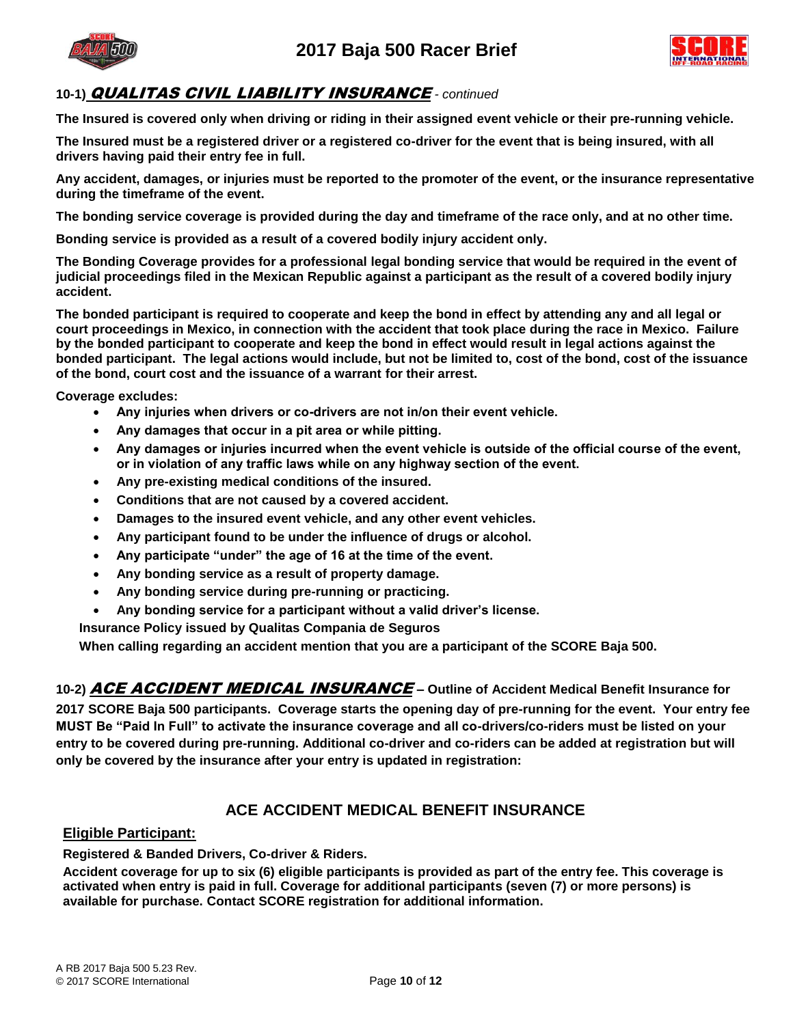

# **2017 Baja 500 Racer Brief**



### **10-1)** QUALITAS CIVIL LIABILITY INSURANCE *- continued*

**The Insured is covered only when driving or riding in their assigned event vehicle or their pre-running vehicle.** 

**The Insured must be a registered driver or a registered co-driver for the event that is being insured, with all drivers having paid their entry fee in full.** 

**Any accident, damages, or injuries must be reported to the promoter of the event, or the insurance representative during the timeframe of the event.**

**The bonding service coverage is provided during the day and timeframe of the race only, and at no other time.**

**Bonding service is provided as a result of a covered bodily injury accident only.**

**The Bonding Coverage provides for a professional legal bonding service that would be required in the event of judicial proceedings filed in the Mexican Republic against a participant as the result of a covered bodily injury accident.**

**The bonded participant is required to cooperate and keep the bond in effect by attending any and all legal or court proceedings in Mexico, in connection with the accident that took place during the race in Mexico. Failure by the bonded participant to cooperate and keep the bond in effect would result in legal actions against the bonded participant. The legal actions would include, but not be limited to, cost of the bond, cost of the issuance of the bond, court cost and the issuance of a warrant for their arrest.**

**Coverage excludes:**

- **Any injuries when drivers or co-drivers are not in/on their event vehicle.**
- **Any damages that occur in a pit area or while pitting.**
- **Any damages or injuries incurred when the event vehicle is outside of the official course of the event, or in violation of any traffic laws while on any highway section of the event.**
- **Any pre-existing medical conditions of the insured.**
- **Conditions that are not caused by a covered accident.**
- **Damages to the insured event vehicle, and any other event vehicles.**
- **Any participant found to be under the influence of drugs or alcohol.**
- **Any participate "under" the age of 16 at the time of the event.**
- **Any bonding service as a result of property damage.**
- **Any bonding service during pre-running or practicing.**
- **Any bonding service for a participant without a valid driver's license.**

**Insurance Policy issued by Qualitas Compania de Seguros** 

**When calling regarding an accident mention that you are a participant of the SCORE Baja 500.**

**10-2)** ACE ACCIDENT MEDICAL INSURANCE **– Outline of Accident Medical Benefit Insurance for 2017 SCORE Baja 500 participants. Coverage starts the opening day of pre-running for the event. Your entry fee MUST Be "Paid In Full" to activate the insurance coverage and all co-drivers/co-riders must be listed on your entry to be covered during pre-running. Additional co-driver and co-riders can be added at registration but will only be covered by the insurance after your entry is updated in registration:** 

### **ACE ACCIDENT MEDICAL BENEFIT INSURANCE**

### **Eligible Participant:**

**Registered & Banded Drivers, Co-driver & Riders.**

**Accident coverage for up to six (6) eligible participants is provided as part of the entry fee. This coverage is activated when entry is paid in full. Coverage for additional participants (seven (7) or more persons) is available for purchase. Contact SCORE registration for additional information.**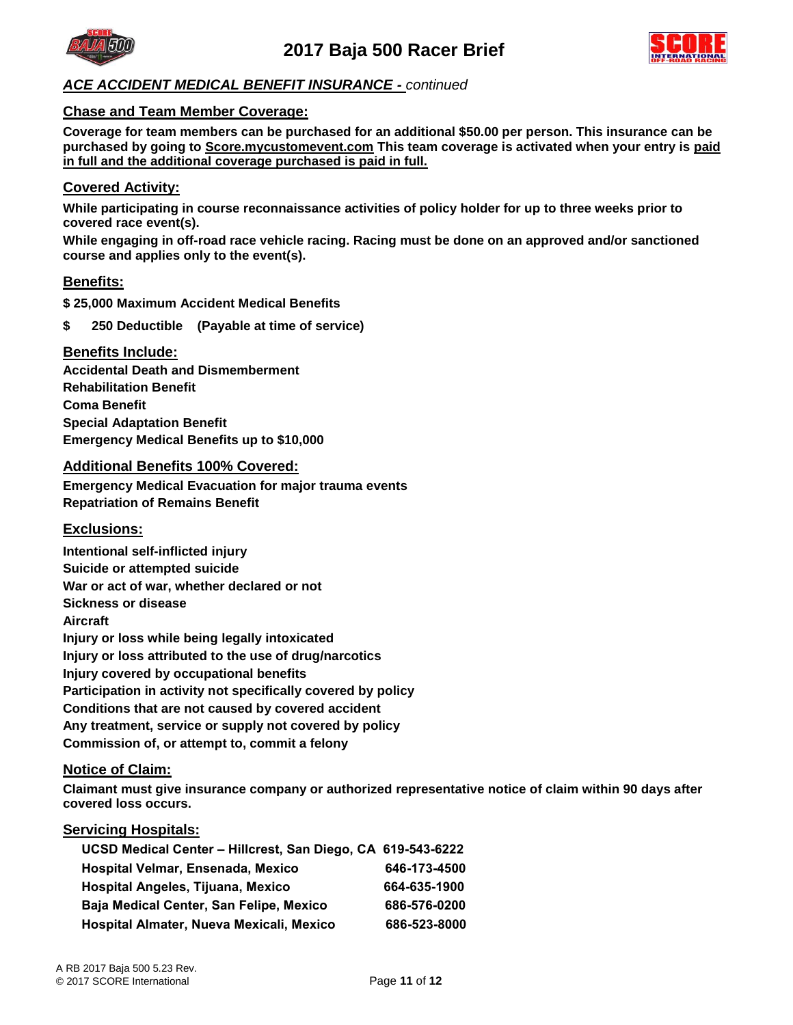



### *ACE ACCIDENT MEDICAL BENEFIT INSURANCE - continued*

#### **Chase and Team Member Coverage:**

**Coverage for team members can be purchased for an additional \$50.00 per person. This insurance can be purchased by going to Score.mycustomevent.com This team coverage is activated when your entry is paid in full and the additional coverage purchased is paid in full.**

#### **Covered Activity:**

**While participating in course reconnaissance activities of policy holder for up to three weeks prior to covered race event(s).**

**While engaging in off-road race vehicle racing. Racing must be done on an approved and/or sanctioned course and applies only to the event(s).**

#### **Benefits:**

**\$ 25,000 Maximum Accident Medical Benefits**

**\$ 250 Deductible (Payable at time of service)**

#### **Benefits Include:**

**Accidental Death and Dismemberment Rehabilitation Benefit Coma Benefit Special Adaptation Benefit Emergency Medical Benefits up to \$10,000** 

#### **Additional Benefits 100% Covered:**

**Emergency Medical Evacuation for major trauma events Repatriation of Remains Benefit**

### **Exclusions:**

**Intentional self-inflicted injury Suicide or attempted suicide War or act of war, whether declared or not Sickness or disease Aircraft Injury or loss while being legally intoxicated Injury or loss attributed to the use of drug/narcotics Injury covered by occupational benefits Participation in activity not specifically covered by policy Conditions that are not caused by covered accident Any treatment, service or supply not covered by policy Commission of, or attempt to, commit a felony**

#### **Notice of Claim:**

**Claimant must give insurance company or authorized representative notice of claim within 90 days after covered loss occurs.**

#### **Servicing Hospitals:**

| UCSD Medical Center - Hillcrest, San Diego, CA 619-543-6222 |              |
|-------------------------------------------------------------|--------------|
| Hospital Velmar, Ensenada, Mexico                           | 646-173-4500 |
| Hospital Angeles, Tijuana, Mexico                           | 664-635-1900 |
| Baja Medical Center, San Felipe, Mexico                     | 686-576-0200 |
| Hospital Almater, Nueva Mexicali, Mexico                    | 686-523-8000 |